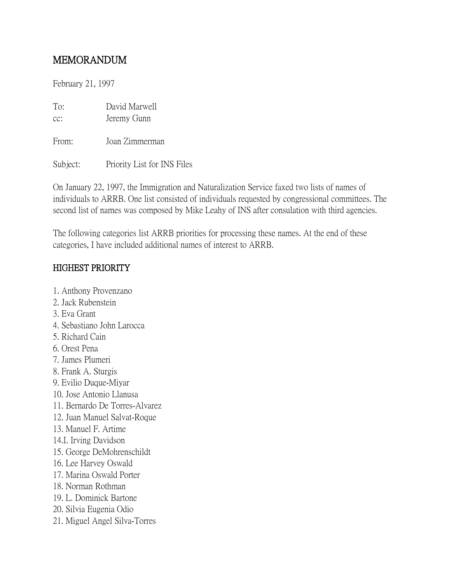# MEMORANDUM

February 21, 1997

| To: | David Marwell |
|-----|---------------|
| cc: | Jeremy Gunn   |

From: Joan Zimmerman

Subject: Priority List for INS Files

On January 22, 1997, the Immigration and Naturalization Service faxed two lists of names of individuals to ARRB. One list consisted of individuals requested by congressional committees. The second list of names was composed by Mike Leahy of INS after consulation with third agencies.

The following categories list ARRB priorities for processing these names. At the end of these categories, I have included additional names of interest to ARRB.

#### HIGHEST PRIORITY

- 1. Anthony Provenzano
- 2. Jack Rubenstein
- 3. Eva Grant
- 4. Sebastiano John Larocca
- 5. Richard Cain
- 6. Orest Pena
- 7. James Plumeri
- 8. Frank A. Sturgis
- 9. Evilio Duque-Miyar
- 10. Jose Antonio Llanusa
- 11. Bernardo De Torres-Alvarez
- 12. Juan Manuel Salvat-Roque
- 13. Manuel F. Artime
- 14.I. Irving Davidson
- 15. George DeMohrenschildt
- 16. Lee Harvey Oswald
- 17. Marina Oswald Porter
- 18. Norman Rothman
- 19. L. Dominick Bartone
- 20. Silvia Eugenia Odio
- 21. Miguel Angel Silva-Torres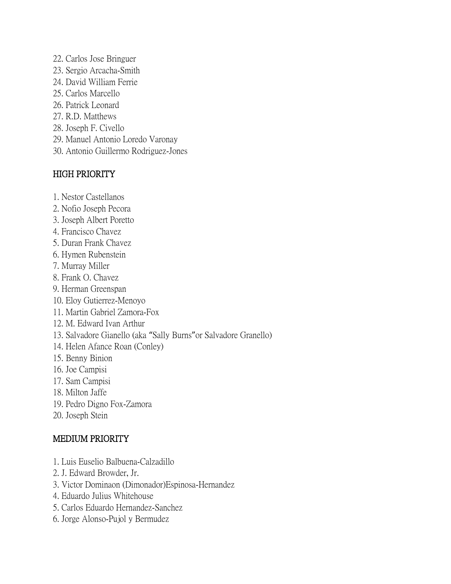- 22. Carlos Jose Bringuer
- 23. Sergio Arcacha-Smith
- 24. David William Ferrie
- 25. Carlos Marcello
- 26. Patrick Leonard
- 27. R.D. Matthews
- 28. Joseph F. Civello
- 29. Manuel Antonio Loredo Varonay
- 30. Antonio Guillermo Rodriguez-Jones

### HIGH PRIORITY

- 1. Nestor Castellanos
- 2. Nofio Joseph Pecora
- 3. Joseph Albert Poretto
- 4. Francisco Chavez
- 5. Duran Frank Chavez
- 6. Hymen Rubenstein
- 7. Murray Miller
- 8. Frank O. Chavez
- 9. Herman Greenspan
- 10. Eloy Gutierrez-Menoyo
- 11. Martin Gabriel Zamora-Fox
- 12. M. Edward Ivan Arthur
- 13. Salvadore Gianello (aka "Sally Burns"or Salvadore Granello)
- 14. Helen Afance Roan (Conley)
- 15. Benny Binion
- 16. Joe Campisi
- 17. Sam Campisi
- 18. Milton Jaffe
- 19. Pedro Digno Fox-Zamora
- 20. Joseph Stein

## MEDIUM PRIORITY

- 1. Luis Euselio Balbuena-Calzadillo
- 2. J. Edward Browder, Jr.
- 3. Victor Dominaon (Dimonador)Espinosa-Hernandez
- 4. Eduardo Julius Whitehouse
- 5. Carlos Eduardo Hernandez-Sanchez
- 6. Jorge Alonso-Pujol y Bermudez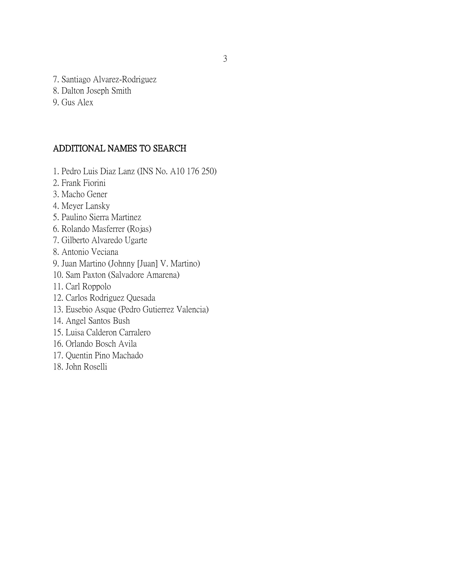- 7. Santiago Alvarez-Rodriguez
- 8. Dalton Joseph Smith
- 9. Gus Alex

#### ADDITIONAL NAMES TO SEARCH

- 1. Pedro Luis Diaz Lanz (INS No. A10 176 250)
- 2. Frank Fiorini
- 3. Macho Gener
- 4. Meyer Lansky
- 5. Paulino Sierra Martinez
- 6. Rolando Masferrer (Rojas)
- 7. Gilberto Alvaredo Ugarte
- 8. Antonio Veciana
- 9. Juan Martino (Johnny [Juan] V. Martino)
- 10. Sam Paxton (Salvadore Amarena)
- 11. Carl Roppolo
- 12. Carlos Rodriguez Quesada
- 13. Eusebio Asque (Pedro Gutierrez Valencia)
- 14. Angel Santos Bush
- 15. Luisa Calderon Carralero
- 16. Orlando Bosch Avila
- 17. Quentin Pino Machado
- 18. John Roselli